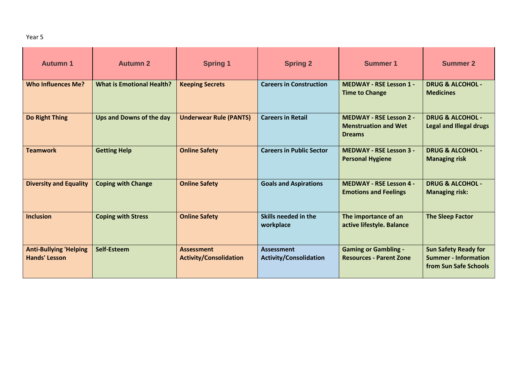| <b>Autumn 1</b>                                       | <b>Autumn 2</b>                  | <b>Spring 1</b>                                    | <b>Spring 2</b>                                    | <b>Summer 1</b>                                                                | <b>Summer 2</b>                                                                     |
|-------------------------------------------------------|----------------------------------|----------------------------------------------------|----------------------------------------------------|--------------------------------------------------------------------------------|-------------------------------------------------------------------------------------|
| <b>Who Influences Me?</b>                             | <b>What is Emotional Health?</b> | <b>Keeping Secrets</b>                             | <b>Careers in Construction</b>                     | <b>MEDWAY - RSE Lesson 1 -</b><br><b>Time to Change</b>                        | <b>DRUG &amp; ALCOHOL -</b><br><b>Medicines</b>                                     |
| Do Right Thing                                        | Ups and Downs of the day         | <b>Underwear Rule (PANTS)</b>                      | <b>Careers in Retail</b>                           | <b>MEDWAY - RSE Lesson 2 -</b><br><b>Menstruation and Wet</b><br><b>Dreams</b> | <b>DRUG &amp; ALCOHOL -</b><br><b>Legal and Illegal drugs</b>                       |
| <b>Teamwork</b>                                       | <b>Getting Help</b>              | <b>Online Safety</b>                               | <b>Careers in Public Sector</b>                    | <b>MEDWAY - RSE Lesson 3 -</b><br><b>Personal Hygiene</b>                      | <b>DRUG &amp; ALCOHOL -</b><br><b>Managing risk</b>                                 |
| <b>Diversity and Equality</b>                         | <b>Coping with Change</b>        | <b>Online Safety</b>                               | <b>Goals and Aspirations</b>                       | <b>MEDWAY - RSE Lesson 4 -</b><br><b>Emotions and Feelings</b>                 | <b>DRUG &amp; ALCOHOL -</b><br><b>Managing risk:</b>                                |
| <b>Inclusion</b>                                      | <b>Coping with Stress</b>        | <b>Online Safety</b>                               | Skills needed in the<br>workplace                  | The importance of an<br>active lifestyle. Balance                              | <b>The Sleep Factor</b>                                                             |
| <b>Anti-Bullying 'Helping</b><br><b>Hands' Lesson</b> | Self-Esteem                      | <b>Assessment</b><br><b>Activity/Consolidation</b> | <b>Assessment</b><br><b>Activity/Consolidation</b> | <b>Gaming or Gambling -</b><br><b>Resources - Parent Zone</b>                  | <b>Sun Safety Ready for</b><br><b>Summer - Information</b><br>from Sun Safe Schools |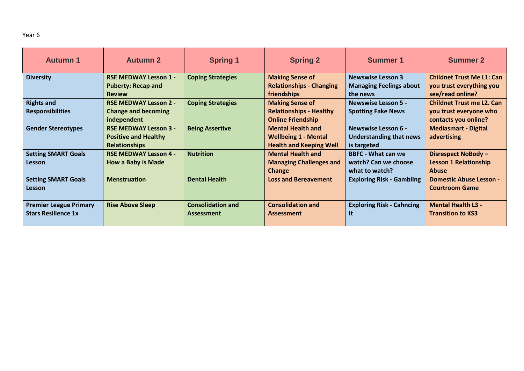| .,<br>۰.<br>× | ×<br>۰, |
|---------------|---------|
|---------------|---------|

| <b>Autumn 1</b>                                             | <b>Autumn 2</b>                                                                     | <b>Spring 1</b>                               | <b>Spring 2</b>                                                                           | Summer 1                                                                    | <b>Summer 2</b>                                                                    |
|-------------------------------------------------------------|-------------------------------------------------------------------------------------|-----------------------------------------------|-------------------------------------------------------------------------------------------|-----------------------------------------------------------------------------|------------------------------------------------------------------------------------|
| <b>Diversity</b>                                            | <b>RSE MEDWAY Lesson 1 -</b><br><b>Puberty: Recap and</b><br><b>Review</b>          | <b>Coping Strategies</b>                      | <b>Making Sense of</b><br><b>Relationships - Changing</b><br>friendships                  | <b>Newswise Lesson 3</b><br><b>Managing Feelings about</b><br>the news      | <b>Childnet Trust Me L1: Can</b><br>you trust everything you<br>see/read online?   |
| <b>Rights and</b><br><b>Responsibilities</b>                | <b>RSE MEDWAY Lesson 2 -</b><br><b>Change and becoming</b><br>independent           | <b>Coping Strategies</b>                      | <b>Making Sense of</b><br><b>Relationships - Healthy</b><br><b>Online Friendship</b>      | <b>Newswise Lesson 5 -</b><br><b>Spotting Fake News</b>                     | <b>Childnet Trust me L2. Can</b><br>you trust everyone who<br>contacts you online? |
| <b>Gender Stereotypes</b>                                   | <b>RSE MEDWAY Lesson 3 -</b><br><b>Positive and Healthy</b><br><b>Relationships</b> | <b>Being Assertive</b>                        | <b>Mental Health and</b><br><b>Wellbeing 1 - Mental</b><br><b>Health and Keeping Well</b> | <b>Newswise Lesson 6 -</b><br><b>Understanding that news</b><br>is targeted | <b>Mediasmart - Digital</b><br>advertising                                         |
| <b>Setting SMART Goals</b><br>Lesson                        | <b>RSE MEDWAY Lesson 4 -</b><br><b>How a Baby is Made</b>                           | <b>Nutrition</b>                              | <b>Mental Health and</b><br><b>Managing Challenges and</b><br>Change                      | <b>BBFC - What can we</b><br>watch? Can we choose<br>what to watch?         | Disrespect NoBody -<br><b>Lesson 1 Relationship</b><br><b>Abuse</b>                |
| <b>Setting SMART Goals</b><br>Lesson                        | <b>Menstruation</b>                                                                 | <b>Dental Health</b>                          | <b>Loss and Bereavement</b>                                                               | <b>Exploring Risk - Gambling</b>                                            | <b>Domestic Abuse Lesson -</b><br><b>Courtroom Game</b>                            |
| <b>Premier League Primary</b><br><b>Stars Resilience 1x</b> | <b>Rise Above Sleep</b>                                                             | <b>Consolidation and</b><br><b>Assessment</b> | <b>Consolidation and</b><br><b>Assessment</b>                                             | <b>Exploring Risk - Cahncing</b><br>It                                      | <b>Mental Health L3 -</b><br><b>Transition to KS3</b>                              |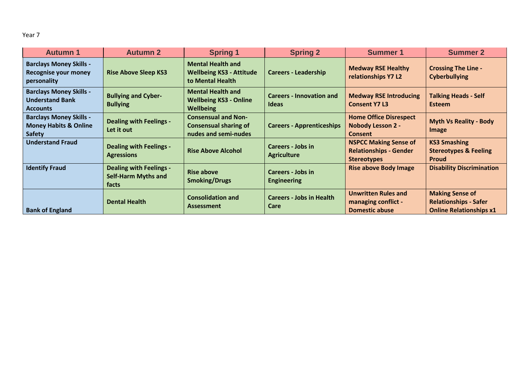Year 7

| <b>Autumn 1</b>                                                                     | <b>Autumn 2</b>                                                       | <b>Spring 1</b>                                                                    | <b>Spring 2</b>                                 | <b>Summer 1</b>                                                                     | <b>Summer 2</b>                                                                          |
|-------------------------------------------------------------------------------------|-----------------------------------------------------------------------|------------------------------------------------------------------------------------|-------------------------------------------------|-------------------------------------------------------------------------------------|------------------------------------------------------------------------------------------|
| <b>Barclays Money Skills -</b><br><b>Recognise your money</b><br>personality        | <b>Rise Above Sleep KS3</b>                                           | <b>Mental Health and</b><br><b>Wellbeing KS3 - Attitude</b><br>to Mental Health    | <b>Careers - Leadership</b>                     | <b>Medway RSE Healthy</b><br>relationships Y7 L2                                    | <b>Crossing The Line -</b><br><b>Cyberbullying</b>                                       |
| <b>Barclays Money Skills -</b><br><b>Understand Bank</b><br><b>Accounts</b>         | <b>Bullying and Cyber-</b><br><b>Bullying</b>                         | <b>Mental Health and</b><br><b>Wellbeing KS3 - Online</b><br><b>Wellbeing</b>      | <b>Careers - Innovation and</b><br><b>Ideas</b> | <b>Medway RSE Introducing</b><br><b>Consent Y7 L3</b>                               | <b>Talking Heads - Self</b><br><b>Esteem</b>                                             |
| <b>Barclays Money Skills -</b><br><b>Money Habits &amp; Online</b><br><b>Safety</b> | <b>Dealing with Feelings -</b><br>Let it out                          | <b>Consensual and Non-</b><br><b>Consensual sharing of</b><br>nudes and semi-nudes | <b>Careers - Apprenticeships</b>                | <b>Home Office Disrespect</b><br><b>Nobody Lesson 2 -</b><br><b>Consent</b>         | <b>Myth Vs Reality - Body</b><br>Image                                                   |
| <b>Understand Fraud</b>                                                             | <b>Dealing with Feelings -</b><br><b>Agressions</b>                   | <b>Rise Above Alcohol</b>                                                          | <b>Careers - Jobs in</b><br><b>Agriculture</b>  | <b>NSPCC Making Sense of</b><br><b>Relationships - Gender</b><br><b>Stereotypes</b> | <b>KS3 Smashing</b><br><b>Stereotypes &amp; Feeling</b><br><b>Proud</b>                  |
| <b>Identify Fraud</b>                                                               | <b>Dealing with Feelings -</b><br><b>Self-Harm Myths and</b><br>facts | <b>Rise above</b><br><b>Smoking/Drugs</b>                                          | Careers - Jobs in<br><b>Engineering</b>         | <b>Rise above Body Image</b>                                                        | <b>Disability Discrimination</b>                                                         |
| <b>Bank of England</b>                                                              | <b>Dental Health</b>                                                  | <b>Consolidation and</b><br><b>Assessment</b>                                      | <b>Careers - Jobs in Health</b><br>Care         | <b>Unwritten Rules and</b><br>managing conflict -<br><b>Domestic abuse</b>          | <b>Making Sense of</b><br><b>Relationships - Safer</b><br><b>Online Relationships x1</b> |